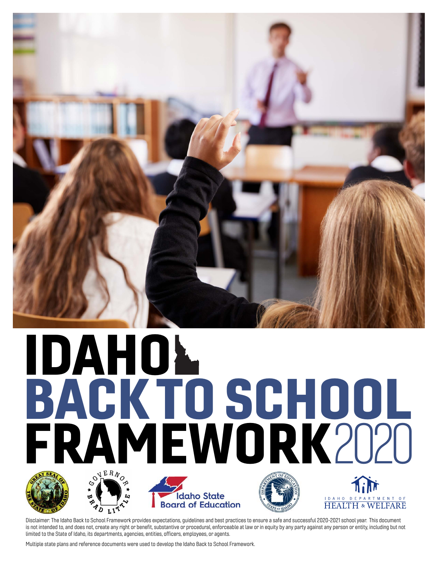

# IDAHO BACK TO SCHOOL FRAMEWORK 2020









Disclaimer: The Idaho Back to School Framework provides expectations, guidelines and best practices to ensure a safe and successful 2020-2021 school year. This document is not intended to, and does not, create any right or benefit, substantive or procedural, enforceable at law or in equity by any party against any person or entity, including but not limited to the State of Idaho, its departments, agencies, entities, officers, employees, or agents.

Multiple state plans and reference documents were used to develop the Idaho Back to School Framework.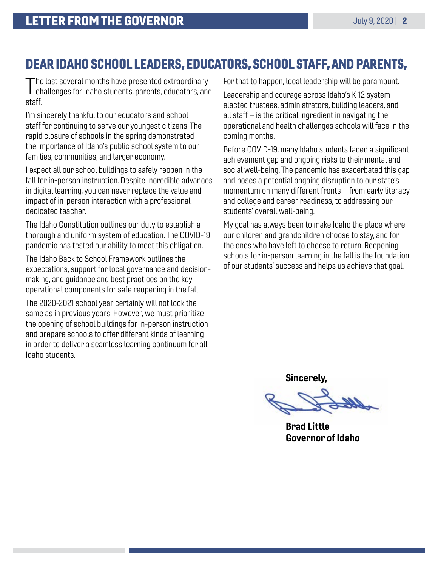### <span id="page-1-0"></span>DEAR IDAHO SCHOOL LEADERS, EDUCATORS, SCHOOL STAFF, AND PARENTS,

The last several months have presented extraordinary<br>challenges for Idaho students, parents, educators, and challenges for Idaho students, parents, educators, and staff.

I'm sincerely thankful to our educators and school staff for continuing to serve our youngest citizens. The rapid closure of schools in the spring demonstrated the importance of Idaho's public school system to our families, communities, and larger economy.

I expect all our school buildings to safely reopen in the fall for in-person instruction. Despite incredible advances in digital learning, you can never replace the value and impact of in-person interaction with a professional, dedicated teacher.

The Idaho Constitution outlines our duty to establish a thorough and uniform system of education. The COVID-19 pandemic has tested our ability to meet this obligation.

The Idaho Back to School Framework outlines the expectations, support for local governance and decisionmaking, and guidance and best practices on the key operational components for safe reopening in the fall.

The 2020-2021 school year certainly will not look the same as in previous years. However, we must prioritize the opening of school buildings for in-person instruction and prepare schools to offer different kinds of learning in order to deliver a seamless learning continuum for all Idaho students.

For that to happen, local leadership will be paramount.

Leadership and courage across Idaho's K-12 system – elected trustees, administrators, building leaders, and all staff – is the critical ingredient in navigating the operational and health challenges schools will face in the coming months.

Before COVID-19, many Idaho students faced a significant achievement gap and ongoing risks to their mental and social well-being. The pandemic has exacerbated this gap and poses a potential ongoing disruption to our state's momentum on many different fronts – from early literacy and college and career readiness, to addressing our students' overall well-being.

My goal has always been to make Idaho the place where our children and grandchildren choose to stay, and for the ones who have left to choose to return. Reopening schools for in-person learning in the fall is the foundation of our students' success and helps us achieve that goal.

Sincerely,

Brad Little Governor of Idaho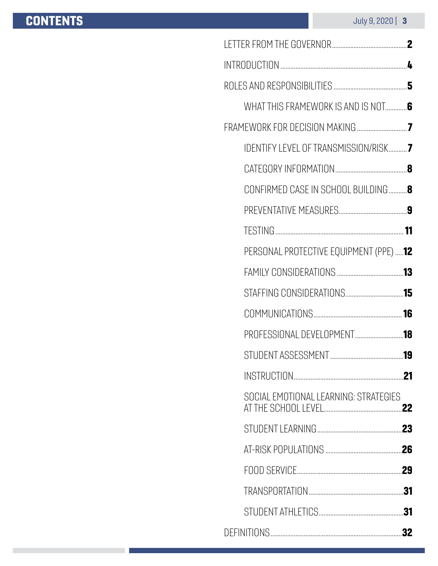### **CONTENTS**

| WHAT THIS FRAMEWORK IS AND IS NOT           |  |
|---------------------------------------------|--|
|                                             |  |
| <b>IDENTIFY LEVEL OF TRANSMISSION/RISK7</b> |  |
|                                             |  |
| CONFIRMED CASE IN SCHOOL BUILDING 8         |  |
|                                             |  |
|                                             |  |
| PERSONAL PROTECTIVE EQUIPMENT (PPE) 12      |  |
|                                             |  |
|                                             |  |
|                                             |  |
|                                             |  |
|                                             |  |
|                                             |  |
| SOCIAL EMOTIONAL LEARNING: STRATEGIES       |  |
|                                             |  |
|                                             |  |
|                                             |  |
|                                             |  |
|                                             |  |
|                                             |  |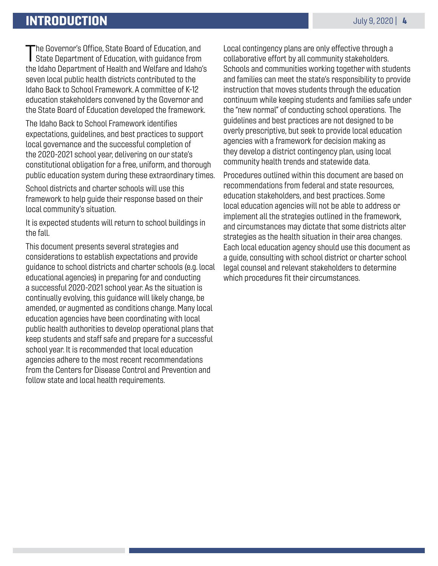#### July 9, 2020 | 4

### <span id="page-3-0"></span>**INTRODUCTION**

The Governor's Office, State Board of Education, and<br>State Department of Education, with guidance from The Governor's Office, State Board of Education, and the Idaho Department of Health and Welfare and Idaho's seven local public health districts contributed to the Idaho Back to School Framework. A committee of K-12 education stakeholders convened by the Governor and the State Board of Education developed the framework.

The Idaho Back to School Framework identifies expectations, guidelines, and best practices to support local governance and the successful completion of the 2020-2021 school year, delivering on our state's constitutional obligation for a free, uniform, and thorough public education system during these extraordinary times.

School districts and charter schools will use this framework to help guide their response based on their local community's situation.

It is expected students will return to school buildings in the fall.

This document presents several strategies and considerations to establish expectations and provide guidance to school districts and charter schools (e.g. local educational agencies) in preparing for and conducting a successful 2020-2021 school year. As the situation is continually evolving, this guidance will likely change, be amended, or augmented as conditions change. Many local education agencies have been coordinating with local public health authorities to develop operational plans that keep students and staff safe and prepare for a successful school year. It is recommended that local education agencies adhere to the most recent recommendations from the Centers for Disease Control and Prevention and follow state and local health requirements.

Local contingency plans are only effective through a collaborative effort by all community stakeholders. Schools and communities working together with students and families can meet the state's responsibility to provide instruction that moves students through the education continuum while keeping students and families safe under the "new normal" of conducting school operations. The guidelines and best practices are not designed to be overly prescriptive, but seek to provide local education agencies with a framework for decision making as they develop a district contingency plan, using local community health trends and statewide data.

Procedures outlined within this document are based on recommendations from federal and state resources, education stakeholders, and best practices. Some local education agencies will not be able to address or implement all the strategies outlined in the framework, and circumstances may dictate that some districts alter strategies as the health situation in their area changes. Each local education agency should use this document as a guide, consulting with school district or charter school legal counsel and relevant stakeholders to determine which procedures fit their circumstances.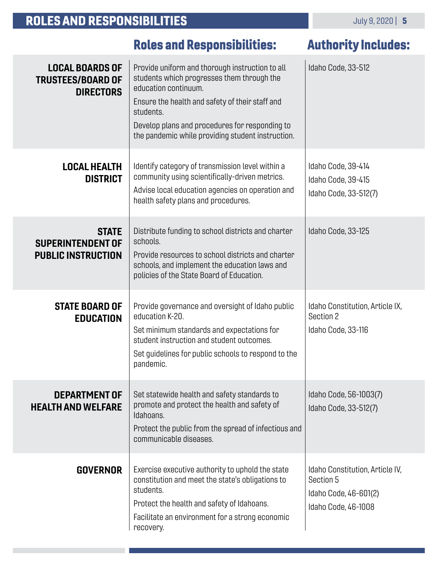# <span id="page-4-0"></span>ROLES AND RESPONSIBILITIES

|                                                                        | <b>Roles and Responsibilities:</b>                                                                                                                                                                                                                                                           | <b>Authority Includes:</b>                                                                   |
|------------------------------------------------------------------------|----------------------------------------------------------------------------------------------------------------------------------------------------------------------------------------------------------------------------------------------------------------------------------------------|----------------------------------------------------------------------------------------------|
| <b>LOCAL BOARDS OF</b><br><b>TRUSTEES/BOARD OF</b><br><b>DIRECTORS</b> | Provide uniform and thorough instruction to all<br>students which progresses them through the<br>education continuum.<br>Ensure the health and safety of their staff and<br>students.<br>Develop plans and procedures for responding to<br>the pandemic while providing student instruction. | Idaho Code, 33-512                                                                           |
| <b>LOCAL HEALTH</b><br><b>DISTRICT</b>                                 | Identify category of transmission level within a<br>community using scientifically-driven metrics.<br>Advise local education agencies on operation and<br>health safety plans and procedures.                                                                                                | Idaho Code, 39-414<br>Idaho Code, 39-415<br>Idaho Code, 33-512(7)                            |
| <b>STATE</b><br><b>SUPERINTENDENT OF</b><br><b>PUBLIC INSTRUCTION</b>  | Distribute funding to school districts and charter<br>schools.<br>Provide resources to school districts and charter<br>schools, and implement the education laws and<br>policies of the State Board of Education.                                                                            | Idaho Code, 33-125                                                                           |
| <b>STATE BOARD OF</b><br><b>EDUCATION</b>                              | Provide governance and oversight of Idaho public<br>education K-20.<br>Set minimum standards and expectations for<br>student instruction and student outcomes.<br>Set quidelines for public schools to respond to the<br>pandemic.                                                           | Idaho Constitution, Article IX,<br>Section 2<br>Idaho Code, 33-116                           |
| <b>DEPARTMENT OF</b><br><b>HEALTH AND WELFARE</b>                      | Set statewide health and safety standards to<br>promote and protect the health and safety of<br>Idahoans.<br>Protect the public from the spread of infectious and<br>communicable diseases.                                                                                                  | Idaho Code, 56-1003(7)<br>Idaho Code, 33-512(7)                                              |
| <b>GOVERNOR</b>                                                        | Exercise executive authority to uphold the state<br>constitution and meet the state's obligations to<br>students.<br>Protect the health and safety of Idahoans.<br>Facilitate an environment for a strong economic<br>recovery.                                                              | Idaho Constitution, Article IV,<br>Section 5<br>Idaho Code, 46-601(2)<br>Idaho Code, 46-1008 |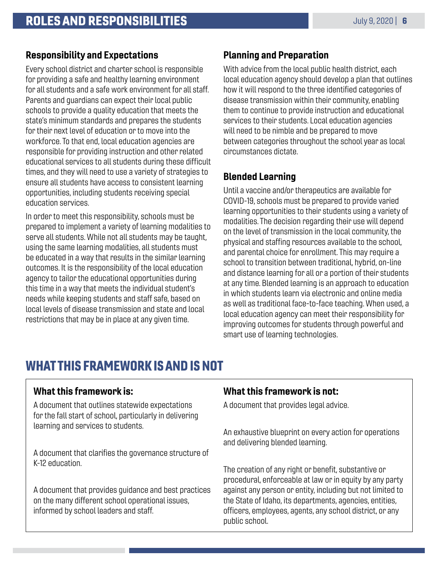#### <span id="page-5-0"></span>Responsibility and Expectations

Every school district and charter school is responsible for providing a safe and healthy learning environment for all students and a safe work environment for all staff. Parents and guardians can expect their local public schools to provide a quality education that meets the state's minimum standards and prepares the students for their next level of education or to move into the workforce. To that end, local education agencies are responsible for providing instruction and other related educational services to all students during these difficult times, and they will need to use a variety of strategies to ensure all students have access to consistent learning opportunities, including students receiving special education services.

In order to meet this responsibility, schools must be prepared to implement a variety of learning modalities to serve all students. While not all students may be taught, using the same learning modalities, all students must be educated in a way that results in the similar learning outcomes. It is the responsibility of the local education agency to tailor the educational opportunities during this time in a way that meets the individual student's needs while keeping students and staff safe, based on local levels of disease transmission and state and local restrictions that may be in place at any given time.

#### Planning and Preparation

With advice from the local public health district, each local education agency should develop a plan that outlines how it will respond to the three identified categories of disease transmission within their community, enabling them to continue to provide instruction and educational services to their students. Local education agencies will need to be nimble and be prepared to move between categories throughout the school year as local circumstances dictate.

#### Blended Learning

Until a vaccine and/or therapeutics are available for COVID-19, schools must be prepared to provide varied learning opportunities to their students using a variety of modalities. The decision regarding their use will depend on the level of transmission in the local community, the physical and staffing resources available to the school, and parental choice for enrollment. This may require a school to transition between traditional, hybrid, on-line and distance learning for all or a portion of their students at any time. Blended learning is an approach to education in which students learn via electronic and online media as well as traditional face-to-face teaching. When used, a local education agency can meet their responsibility for improving outcomes for students through powerful and smart use of learning technologies.

### WHAT THIS FRAMEWORK IS AND IS NOT

#### What this framework is:

A document that outlines statewide expectations for the fall start of school, particularly in delivering learning and services to students.

A document that clarifies the governance structure of K-12 education.

A document that provides guidance and best practices on the many different school operational issues, informed by school leaders and staff.

#### What this framework is not:

A document that provides legal advice.

An exhaustive blueprint on every action for operations and delivering blended learning.

The creation of any right or benefit, substantive or procedural, enforceable at law or in equity by any party against any person or entity, including but not limited to the State of Idaho, its departments, agencies, entities, officers, employees, agents, any school district, or any public school.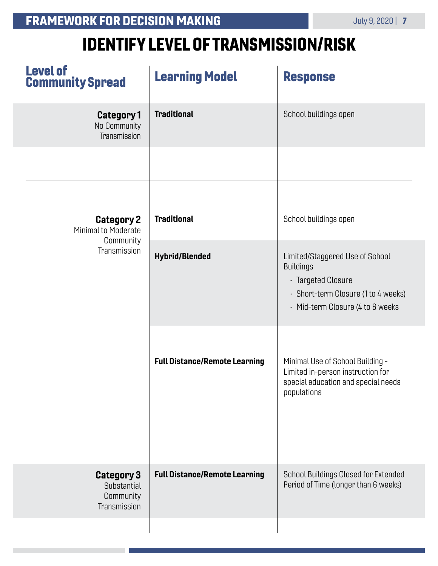# IDENTIFY LEVEL OF TRANSMISSION/RISK

<span id="page-6-0"></span>

| <b>Level of</b><br><b>Community Spread</b>                    | <b>Learning Model</b>                | <b>Response</b>                                                                                                                                            |
|---------------------------------------------------------------|--------------------------------------|------------------------------------------------------------------------------------------------------------------------------------------------------------|
| <b>Category 1</b><br>No Community<br>Transmission             | <b>Traditional</b>                   | School buildings open                                                                                                                                      |
|                                                               |                                      |                                                                                                                                                            |
| <b>Category 2</b><br>Minimal to Moderate                      | <b>Traditional</b>                   | School buildings open                                                                                                                                      |
| Community<br>Transmission                                     | <b>Hybrid/Blended</b>                | Limited/Staggered Use of School<br><b>Buildings</b><br>· Targeted Closure<br>· Short-term Closure (1 to 4 weeks)<br>$\cdot$ Mid-term Closure (4 to 6 weeks |
|                                                               | <b>Full Distance/Remote Learning</b> | Minimal Use of School Building -<br>Limited in-person instruction for<br>special education and special needs<br>populations                                |
|                                                               |                                      |                                                                                                                                                            |
| <b>Category 3</b><br>Substantial<br>Community<br>Transmission | <b>Full Distance/Remote Learning</b> | School Buildings Closed for Extended<br>Period of Time (longer than 6 weeks)                                                                               |
|                                                               |                                      |                                                                                                                                                            |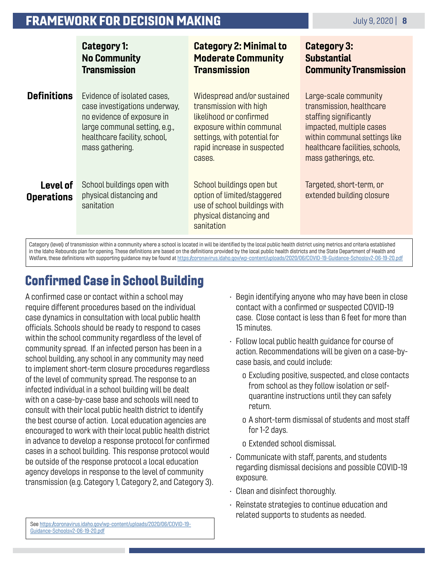<span id="page-7-0"></span>

|                               | <b>Category 1:</b><br><b>No Community</b><br><b>Transmission</b>                                                                                                               | <b>Category 2: Minimal to</b><br><b>Moderate Community</b><br><b>Transmission</b>                                                                                                     | <b>Category 3:</b><br><b>Substantial</b><br><b>Community Transmission</b>                                                                                                                            |
|-------------------------------|--------------------------------------------------------------------------------------------------------------------------------------------------------------------------------|---------------------------------------------------------------------------------------------------------------------------------------------------------------------------------------|------------------------------------------------------------------------------------------------------------------------------------------------------------------------------------------------------|
| <b>Definitions</b>            | Evidence of isolated cases,<br>case investigations underway,<br>no evidence of exposure in<br>large communal setting, e.g.,<br>healthcare facility, school,<br>mass gathering. | Widespread and/or sustained<br>transmission with high<br>likelihood or confirmed<br>exposure within communal<br>settings, with potential for<br>rapid increase in suspected<br>cases. | Large-scale community<br>transmission, healthcare<br>staffing significantly<br>impacted, multiple cases<br>within communal settings like<br>healthcare facilities, schools,<br>mass gatherings, etc. |
| Level of<br><b>Operations</b> | School buildings open with<br>physical distancing and<br>sanitation                                                                                                            | School buildings open but<br>option of limited/staggered<br>use of school buildings with<br>physical distancing and<br>sanitation                                                     | Targeted, short-term, or<br>extended building closure                                                                                                                                                |

Category (level) of transmission within a community where a school is located in will be identified by the local public health district using metrics and criteria established in the Idaho Rebounds plan for opening. These definitions are based on the definitions provided by the local public health districts and the State Department of Health and Welfare, these definitions with supporting quidance may be found at [https:/coronavirus.idaho.gov/wp-content/uploads/2020/06/COVID-19-Guidance-Schoolsv2-06-19-20.pdf](https://coronavirus.idaho.gov/wp-content/uploads/2020/06/COVID-19-Guidance-Schoolsv2-06-19-20.pdf)

### Confirmed Case in School Building

A confirmed case or contact within a school may require different procedures based on the individual case dynamics in consultation with local public health officials. Schools should be ready to respond to cases within the school community regardless of the level of community spread. If an infected person has been in a school building, any school in any community may need to implement short-term closure procedures regardless of the level of community spread. The response to an infected individual in a school building will be dealt with on a case-by-case base and schools will need to consult with their local public health district to identify the best course of action. Local education agencies are encouraged to work with their local public health district in advance to develop a response protocol for confirmed cases in a school building. This response protocol would be outside of the response protocol a local education agency develops in response to the level of community transmission (e.g. Category 1, Category 2, and Category 3).

- Begin identifying anyone who may have been in close contact with a confirmed or suspected COVID-19 case. Close contact is less than 6 feet for more than 15 minutes.
- Follow local public health guidance for course of action. Recommendations will be given on a case-bycase basis, and could include:
	- o Excluding positive, suspected, and close contacts from school as they follow isolation or selfquarantine instructions until they can safely return.
	- o A short-term dismissal of students and most staff for 1-2 days.
	- o Extended school dismissal.
- Communicate with staff, parents, and students regarding dismissal decisions and possible COVID-19 exposure.
- Clean and disinfect thoroughly.
- Reinstate strategies to continue education and related supports to students as needed.

See [https:/coronavirus.idaho.gov/wp-content/uploads/2020/06/COVID-19-](https://coronavirus.idaho.gov/wp-content/uploads/2020/06/COVID-19-Guidance-Schoolsv2-06-19-20.pdf) [Guidance-Schoolsv2-06-19-20.pdf](https://coronavirus.idaho.gov/wp-content/uploads/2020/06/COVID-19-Guidance-Schoolsv2-06-19-20.pdf)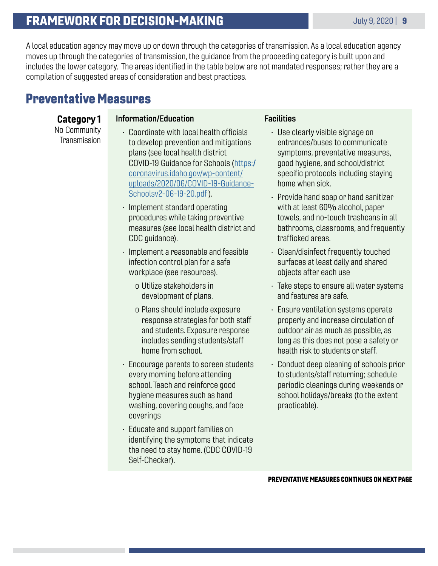### <span id="page-8-0"></span>FRAMEWORK FOR DECISION-MAKING

A local education agency may move up or down through the categories of transmission. As a local education agency moves up through the categories of transmission, the guidance from the proceeding category is built upon and includes the lower category. The areas identified in the table below are not mandated responses; rather they are a compilation of suggested areas of consideration and best practices.

### Preventative Measures

#### Category 1

#### Information/Education

No Community Transmission

- Coordinate with local health officials to develop prevention and mitigations plans (see local health district COVID-19 Guidance for Schools ([https:/](https://coronavirus.idaho.gov/wp-content/uploads/2020/06/COVID-19-Guidance-Schoolsv2-06-19-20.pdf) [coronavirus.idaho.gov/wp-content/](https://coronavirus.idaho.gov/wp-content/uploads/2020/06/COVID-19-Guidance-Schoolsv2-06-19-20.pdf) [uploads/2020/06/COVID-19-Guidance-](https://coronavirus.idaho.gov/wp-content/uploads/2020/06/COVID-19-Guidance-Schoolsv2-06-19-20.pdf)[Schoolsv2-06-19-20.pdf \)](https://coronavirus.idaho.gov/wp-content/uploads/2020/06/COVID-19-Guidance-Schoolsv2-06-19-20.pdf).
- Implement standard operating procedures while taking preventive measures (see local health district and CDC guidance).
- Implement a reasonable and feasible infection control plan for a safe workplace (see resources).
	- o Utilize stakeholders in development of plans.
	- o Plans should include exposure response strategies for both staff and students. Exposure response includes sending students/staff home from school.
- Encourage parents to screen students every morning before attending school. Teach and reinforce good hygiene measures such as hand washing, covering coughs, and face coverings
- Educate and support families on identifying the symptoms that indicate the need to stay home. (CDC COVID-19 Self-Checker).

#### **Facilities**

- Use clearly visible signage on entrances/buses to communicate symptoms, preventative measures, good hygiene, and school/district specific protocols including staying home when sick.
- Provide hand soap or hand sanitizer with at least 60% alcohol, paper towels, and no-touch trashcans in all bathrooms, classrooms, and frequently trafficked areas.
- Clean/disinfect frequently touched surfaces at least daily and shared objects after each use
- Take steps to ensure all water systems and features are safe.
- Ensure ventilation systems operate properly and increase circulation of outdoor air as much as possible, as long as this does not pose a safety or health risk to students or staff.
- Conduct deep cleaning of schools prior to students/staff returning; schedule periodic cleanings during weekends or school holidays/breaks (to the extent practicable).

PREVENTATIVE MEASURES CONTINUES ON NEXT PAGE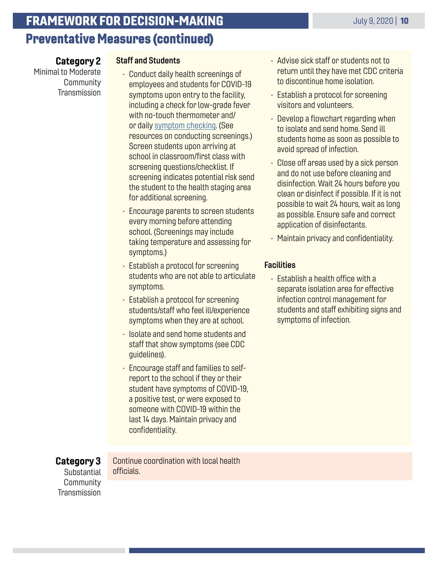### Preventative Measures (continued) FRAMEWORK FOR DECISION-MAKING

Category 2 Minimal to Moderate Community Transmission

#### Staff and Students

- Conduct daily health screenings of employees and students for COVID-19 symptoms upon entry to the facility, including a check for low-grade fever with no-touch thermometer and/ or daily [symptom checking.](https://www.cdc.gov/coronavirus/2019-ncov/symptoms-testing/symptoms.html) (See resources on conducting screenings.) Screen students upon arriving at school in classroom/first class with screening questions/checklist. If screening indicates potential risk send the student to the health staging area for additional screening.
- Encourage parents to screen students every morning before attending school. (Screenings may include taking temperature and assessing for symptoms.)
- Establish a protocol for screening students who are not able to articulate symptoms.
- Establish a protocol for screening students/staff who feel ill/experience symptoms when they are at school.
- Isolate and send home students and staff that show symptoms (see CDC guidelines).
- Encourage staff and families to selfreport to the school if they or their student have symptoms of COVID-19, a positive test, or were exposed to someone with COVID-19 within the last 14 days. Maintain privacy and confidentiality.

Continue coordination with local health officials.

- Advise sick staff or students not to return until they have met CDC criteria to discontinue home isolation.
- Establish a protocol for screening visitors and volunteers.
- Develop a flowchart regarding when to isolate and send home. Send ill students home as soon as possible to avoid spread of infection.
- Close off areas used by a sick person and do not use before cleaning and disinfection. Wait 24 hours before you clean or disinfect if possible. If it is not possible to wait 24 hours, wait as long as possible. Ensure safe and correct application of disinfectants.
- Maintain privacy and confidentiality.

#### **Facilities**

• Establish a health office with a separate isolation area for effective infection control management for students and staff exhibiting signs and symptoms of infection.

Category 3

**Substantial Community** Transmission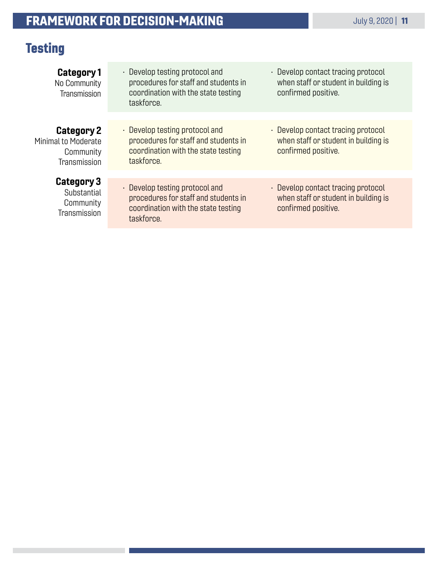### <span id="page-10-0"></span>**Testing**

| <b>Category 1</b><br>No Community<br>Transmission                            | $\cdot$ Develop testing protocol and<br>procedures for staff and students in<br>coordination with the state testing<br>taskforce. | · Develop contact tracing protocol<br>when staff or student in building is<br>confirmed positive. |
|------------------------------------------------------------------------------|-----------------------------------------------------------------------------------------------------------------------------------|---------------------------------------------------------------------------------------------------|
|                                                                              |                                                                                                                                   |                                                                                                   |
| <b>Category 2</b><br><b>Minimal to Moderate</b><br>Community<br>Transmission | $\cdot$ Develop testing protocol and<br>procedures for staff and students in<br>coordination with the state testing<br>taskforce. | • Develop contact tracing protocol<br>when staff or student in building is<br>confirmed positive. |
|                                                                              |                                                                                                                                   |                                                                                                   |
| <b>Category 3</b><br>Substantial<br>Community<br>Transmission                | • Develop testing protocol and<br>procedures for staff and students in<br>coordination with the state testing<br>taskforce.       | • Develop contact tracing protocol<br>when staff or student in building is<br>confirmed positive. |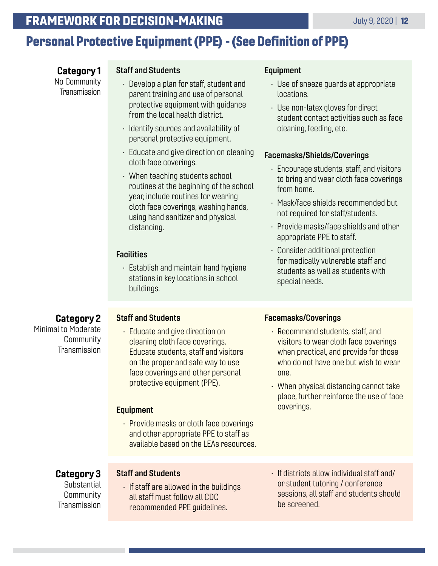### <span id="page-11-0"></span>FRAMEWORK FOR DECISION-MAKING

### Personal Protective Equipment (PPE) - (See Definition of PPE)

| <b>Category 1</b><br>No Community<br>Transmission                     | <b>Staff and Students</b><br>$\cdot$ Develop a plan for staff, student and<br>parent training and use of personal<br>protective equipment with guidance<br>from the local health district.<br>· Identify sources and availability of<br>personal protective equipment.<br>$\cdot$ Educate and give direction on cleaning<br>cloth face coverings.<br>• When teaching students school<br>routines at the beginning of the school<br>year, include routines for wearing<br>cloth face coverings, washing hands,<br>using hand sanitizer and physical<br>distancing.<br><b>Facilities</b> | <b>Equipment</b><br>$\cdot$ Use of sneeze guards at appropriate<br>locations.<br>$\cdot$ Use non-latex gloves for direct<br>student contact activities such as face<br>cleaning, feeding, etc.<br><b>Facemasks/Shields/Coverings</b><br>$\cdot$ Encourage students, staff, and visitors<br>to bring and wear cloth face coverings<br>from home.<br>· Mask/face shields recommended but<br>not required for staff/students.<br>· Provide masks/face shields and other<br>appropriate PPE to staff.<br>· Consider additional protection |
|-----------------------------------------------------------------------|----------------------------------------------------------------------------------------------------------------------------------------------------------------------------------------------------------------------------------------------------------------------------------------------------------------------------------------------------------------------------------------------------------------------------------------------------------------------------------------------------------------------------------------------------------------------------------------|---------------------------------------------------------------------------------------------------------------------------------------------------------------------------------------------------------------------------------------------------------------------------------------------------------------------------------------------------------------------------------------------------------------------------------------------------------------------------------------------------------------------------------------|
|                                                                       | $\cdot$ Establish and maintain hand hygiene<br>stations in key locations in school<br>buildings.                                                                                                                                                                                                                                                                                                                                                                                                                                                                                       | for medically vulnerable staff and<br>students as well as students with<br>special needs.                                                                                                                                                                                                                                                                                                                                                                                                                                             |
| <b>Category 2</b><br>Minimal to Moderate<br>Community<br>Transmission | <b>Staff and Students</b><br>$\cdot$ Educate and give direction on<br>cleaning cloth face coverings.<br>Educate students, staff and visitors<br>on the proper and safe way to use<br>face coverings and other personal<br>protective equipment (PPE).<br><b>Equipment</b><br>• Provide masks or cloth face coverings<br>and other appropriate PPE to staff as<br>available based on the LEAs resources.                                                                                                                                                                                | <b>Facemasks/Coverings</b><br>$\cdot$ Recommend students, staff, and<br>visitors to wear cloth face coverings<br>when practical, and provide for those<br>who do not have one but wish to wear<br>one.<br>• When physical distancing cannot take<br>place, further reinforce the use of face<br>coverings.                                                                                                                                                                                                                            |
| <b>Category 3</b><br>Substantial<br>Community<br>Transmission         | <b>Staff and Students</b><br>$\cdot$ If staff are allowed in the buildings<br>all staff must follow all CDC<br>recommended PPE quidelines.                                                                                                                                                                                                                                                                                                                                                                                                                                             | · If districts allow individual staff and/<br>or student tutoring / conference<br>sessions, all staff and students should<br>be screened.                                                                                                                                                                                                                                                                                                                                                                                             |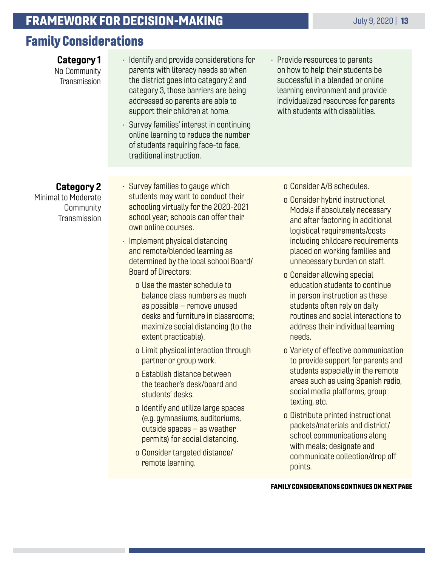### <span id="page-12-0"></span>**FRAMEWORK FOR DECISION-MAKING The Contract of the Contract of the Contract of the Contract of the Contract of the Contract of the Contract of the Contract of the Contract of the Contract of the Contract of the Contract**

### Family Considerations

#### Category 1 No Community **Transmission** Category 2 Minimal to Moderate Community **Transmission** • Identify and provide considerations for parents with literacy needs so when the district goes into category 2 and category 3, those barriers are being addressed so parents are able to support their children at home. • Survey families' interest in continuing online learning to reduce the number of students requiring face-to face, traditional instruction. • Provide resources to parents on how to help their students be successful in a blended or online learning environment and provide individualized resources for parents with students with disabilities. Survey families to gauge which students may want to conduct their schooling virtually for the 2020-2021 school year; schools can offer their own online courses. • Implement physical distancing and remote/blended learning as determined by the local school Board/ Board of Directors: o Use the master schedule to balance class numbers as much as possible – remove unused desks and furniture in classrooms; o Consider A/B schedules. o Consider hybrid instructional Models if absolutely necessary and after factoring in additional logistical requirements/costs including childcare requirements placed on working families and unnecessary burden on staff. o Consider allowing special education students to continue in person instruction as these students often rely on daily routines and social interactions to

o Limit physical interaction through partner or group work.

maximize social distancing (to the

o Establish distance between the teacher's desk/board and students' desks.

extent practicable).

- o Identify and utilize large spaces (e.g. gymnasiums, auditoriums, outside spaces – as weather permits) for social distancing.
- o Consider targeted distance/ remote learning.

o Variety of effective communication to provide support for parents and students especially in the remote areas such as using Spanish radio, social media platforms, group texting, etc.

address their individual learning

needs.

o Distribute printed instructional packets/materials and district/ school communications along with meals; designate and communicate collection/drop off points.

FAMILY CONSIDERATIONS CONTINUES ON NEXT PAGE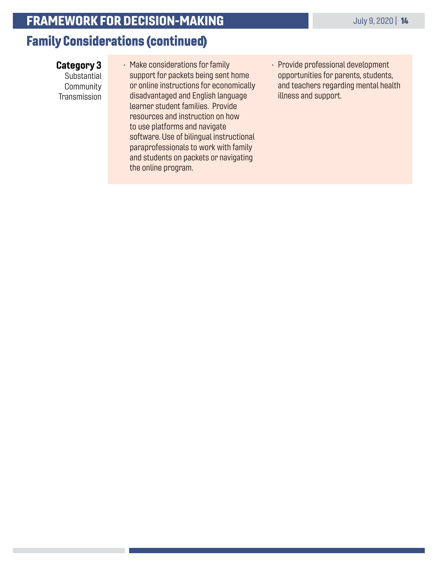### FRAMEWORK FOR DECISION-MAKING

### Family Considerations (continued)

#### Category 3

**Substantial Community Transmission** 

- Make considerations for family support for packets being sent home or online instructions for economically disadvantaged and English language learner student families. Provide resources and instruction on how to use platforms and navigate software. Use of bilingual instructional paraprofessionals to work with family and students on packets or navigating the online program.
- Provide professional development opportunities for parents, students, and teachers regarding mental health illness and support.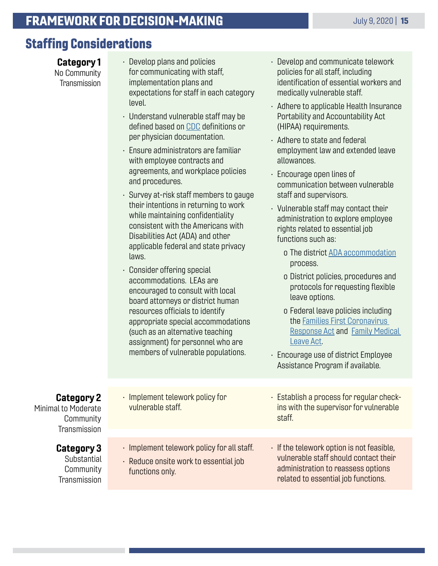### <span id="page-14-0"></span>Staffing Considerations

### Category 1

No Community **Transmission** 

- Develop plans and policies for communicating with staff, implementation plans and expectations for staff in each category level.
- Understand vulnerable staff may be defined based on [CDC](https://www.cdc.gov/coronavirus/2019-ncov/need-extra-precautions/people-at-higher-risk.html) definitions or per physician documentation.
- Ensure administrators are familiar with employee contracts and agreements, and workplace policies and procedures.
- Survey at-risk staff members to gauge their intentions in returning to work while maintaining confidentiality consistent with the Americans with Disabilities Act (ADA) and other applicable federal and state privacy laws.
- Consider offering special accommodations. LEAs are encouraged to consult with local board attorneys or district human resources officials to identify appropriate special accommodations (such as an alternative teaching assignment) for personnel who are members of vulnerable populations.
- Develop and communicate telework policies for all staff, including identification of essential workers and medically vulnerable staff.
- Adhere to applicable Health Insurance Portability and Accountability Act (HIPAA) requirements.
- Adhere to state and federal employment law and extended leave allowances.
- Encourage open lines of communication between vulnerable staff and supervisors.
- Vulnerable staff may contact their administration to explore employee rights related to essential job functions such as:
	- o The district [ADA accommodation](https://www.eeoc.gov/publications/ada-your-responsibilities-employer) process.
	- o District policies, procedures and protocols for requesting flexible leave options.
	- o Federal leave policies including the [Families First Coronavirus](https://www.dol.gov/agencies/whd/pandemic/ffcra-employer-paid-leave)  [Response Act](https://www.dol.gov/agencies/whd/pandemic/ffcra-employer-paid-leave) and [Family Medical](https://www.dol.gov/agencies/whd/fmla)  [Leave Act.](https://www.dol.gov/agencies/whd/fmla)
- Encourage use of district Employee Assistance Program if available.

#### Category 2

Minimal to Moderate Community **Transmission** 

#### Category 3

**Substantial** Community **Transmission** 

- Implement telework policy for vulnerable staff.
- Implement telework policy for all staff.
- Reduce onsite work to essential job functions only.
- Establish a process for regular checkins with the supervisor for vulnerable staff.
- If the telework option is not feasible, vulnerable staff should contact their administration to reassess options related to essential job functions.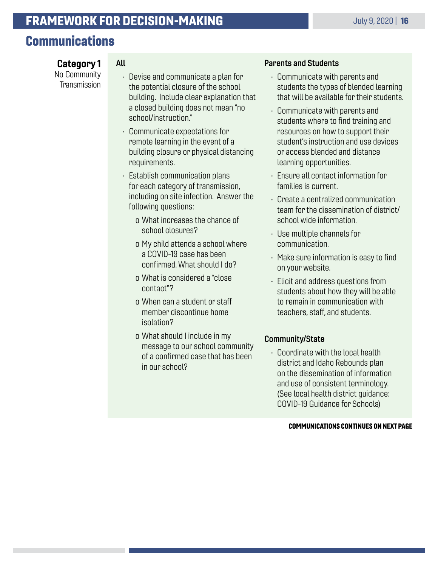### <span id="page-15-0"></span>**FRAMEWORK FOR DECISION-MAKING The Contract of the Contract of the Contract of the Contract of the Contract of the Contract of the Contract of the Contract of the Contract of the Contract of the Contract of the Contract**

### **Communications**

| <b>Category 1</b> |  |
|-------------------|--|
| No Community      |  |

No Community Transmission

#### All

- Devise and communicate a plan for the potential closure of the school building. Include clear explanation that a closed building does not mean "no school/instruction."
- Communicate expectations for remote learning in the event of a building closure or physical distancing requirements.
- Establish communication plans for each category of transmission, including on site infection. Answer the following questions:
	- o What increases the chance of school closures?
	- o My child attends a school where a COVID-19 case has been confirmed. What should I do?
	- o What is considered a "close contact"?
	- o When can a student or staff member discontinue home isolation?
	- o What should I include in my message to our school community of a confirmed case that has been in our school?

#### Parents and Students

- Communicate with parents and students the types of blended learning that will be available for their students.
- Communicate with parents and students where to find training and resources on how to support their student's instruction and use devices or access blended and distance learning opportunities.
- Ensure all contact information for families is current.
- Create a centralized communication team for the dissemination of district/ school wide information.
- Use multiple channels for communication.
- Make sure information is easy to find on your website.
- Elicit and address questions from students about how they will be able to remain in communication with teachers, staff, and students.

#### Community/State

• Coordinate with the local health district and Idaho Rebounds plan on the dissemination of information and use of consistent terminology. (See local health district guidance: COVID-19 Guidance for Schools)

#### COMMUNICATIONS CONTINUES ON NEXT PAGE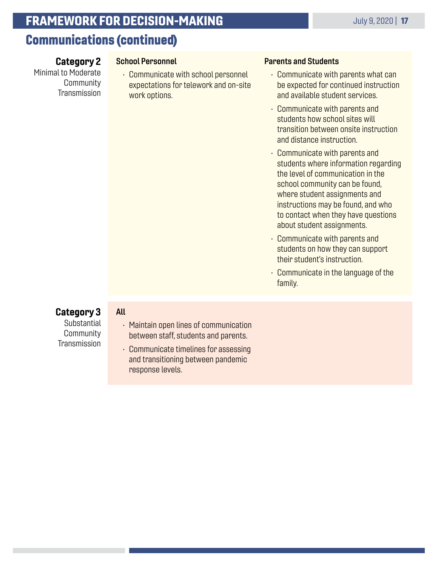### **FRAMEWORK FOR DECISION-MAKING The Contract of the Contract of the Contract of the Contract of the Contract of the Contract of the Contract of the Contract of the Contract of the Contract of the Contract of the Contract**

### Communications (continued)

Category 2

#### School Personnel

- Minimal to Moderate **Community** Transmission
- Communicate with school personnel expectations for telework and on-site work options.

#### Parents and Students

- Communicate with parents what can be expected for continued instruction and available student services.
- Communicate with parents and students how school sites will transition between onsite instruction and distance instruction.
- Communicate with parents and students where information regarding the level of communication in the school community can be found, where student assignments and instructions may be found, and who to contact when they have questions about student assignments.
- Communicate with parents and students on how they can support their student's instruction.
- Communicate in the language of the family.

#### Category 3 **Substantial Community Transmission**

#### All

- Maintain open lines of communication between staff, students and parents.
- Communicate timelines for assessing and transitioning between pandemic response levels.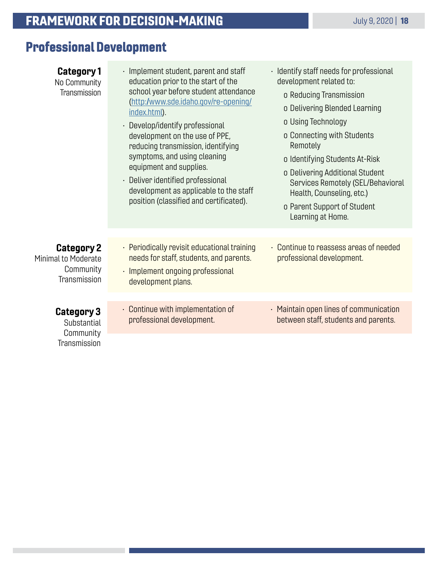### <span id="page-17-0"></span>Professional Development

| <b>Category 1</b><br>No Community<br>Transmission                            | $\cdot$ Implement student, parent and staff<br>education prior to the start of the<br>school year before student attendance<br>(http:/www.sde.idaho.gov/re-opening/<br>index.html).<br>· Develop/identify professional<br>development on the use of PPE,<br>reducing transmission, identifying<br>symptoms, and using cleaning<br>equipment and supplies.<br>• Deliver identified professional<br>development as applicable to the staff<br>position (classified and certificated). | $\cdot$ Identify staff needs for professional<br>development related to:<br>o Reducing Transmission<br>o Delivering Blended Learning<br>o Using Technology<br>o Connecting with Students<br>Remotely<br>o Identifying Students At-Risk<br>o Delivering Additional Student<br>Services Remotely (SEL/Behavioral<br>Health, Counseling, etc.)<br>o Parent Support of Student |
|------------------------------------------------------------------------------|-------------------------------------------------------------------------------------------------------------------------------------------------------------------------------------------------------------------------------------------------------------------------------------------------------------------------------------------------------------------------------------------------------------------------------------------------------------------------------------|----------------------------------------------------------------------------------------------------------------------------------------------------------------------------------------------------------------------------------------------------------------------------------------------------------------------------------------------------------------------------|
|                                                                              |                                                                                                                                                                                                                                                                                                                                                                                                                                                                                     | Learning at Home.                                                                                                                                                                                                                                                                                                                                                          |
| <b>Category 2</b><br><b>Minimal to Moderate</b><br>Community<br>Transmission | $\cdot$ Periodically revisit educational training<br>needs for staff, students, and parents.<br>· Implement ongoing professional<br>development plans.                                                                                                                                                                                                                                                                                                                              | • Continue to reassess areas of needed<br>professional development.                                                                                                                                                                                                                                                                                                        |
|                                                                              |                                                                                                                                                                                                                                                                                                                                                                                                                                                                                     |                                                                                                                                                                                                                                                                                                                                                                            |
| <b>Category 3</b><br>Substantial                                             | $\cdot$ Continue with implementation of<br>professional development.                                                                                                                                                                                                                                                                                                                                                                                                                | • Maintain open lines of communication<br>between staff, students and parents.                                                                                                                                                                                                                                                                                             |
| Community<br>Transmission                                                    |                                                                                                                                                                                                                                                                                                                                                                                                                                                                                     |                                                                                                                                                                                                                                                                                                                                                                            |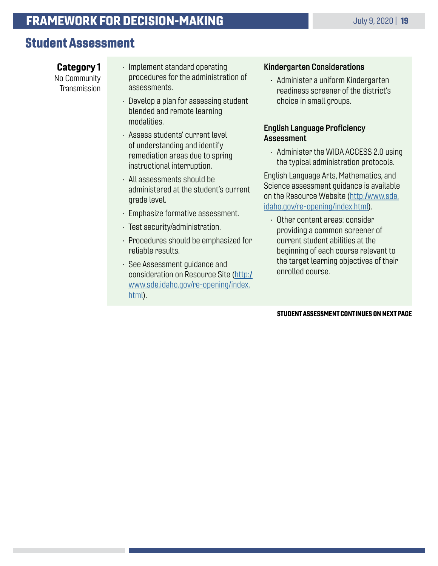### <span id="page-18-0"></span>Student Assessment

#### Category 1

No Community **Transmission** 

- Implement standard operating procedures for the administration of assessments.
- Develop a plan for assessing student blended and remote learning modalities.
- Assess students' current level of understanding and identify remediation areas due to spring instructional interruption.
- All assessments should be administered at the student's current grade level.
- Emphasize formative assessment.
- Test security/administration.
- Procedures should be emphasized for reliable results.
- See Assessment guidance and consideration on Resource Site [\(http:/](http://www.sde.idaho.gov/re-opening/index.html) [www.sde.idaho.gov/re-opening/index.](http://www.sde.idaho.gov/re-opening/index.html) [html](http://www.sde.idaho.gov/re-opening/index.html)).

#### Kindergarten Considerations

• Administer a uniform Kindergarten readiness screener of the district's choice in small groups.

#### English Language Proficiency Assessment

• Administer the WIDA ACCESS 2.0 using the typical administration protocols.

English Language Arts, Mathematics, and Science assessment guidance is available on the Resource Website [\(http:/www.sde.](http://www.sde.idaho.gov/re-opening/index.html) [idaho.gov/re-opening/index.html](http://www.sde.idaho.gov/re-opening/index.html)).

• Other content areas: consider providing a common screener of current student abilities at the beginning of each course relevant to the target learning objectives of their enrolled course.

#### STUDENT ASSESSMENT CONTINUES ON NEXT PAGE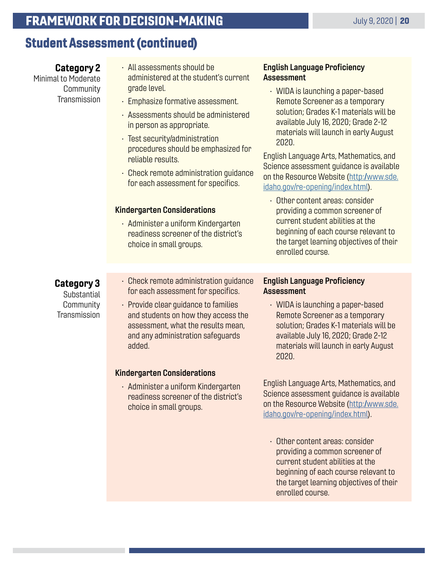### **FRAMEWORK FOR DECISION-MAKING** July 9, 2020 | 20

### Student Assessment (continued)

| <b>Category 2</b><br>Minimal to Moderate<br>Community<br>Transmission | · All assessments should be<br>administered at the student's current<br>grade level.<br>· Emphasize formative assessment.<br>· Assessments should be administered<br>in person as appropriate.<br>· Test security/administration<br>procedures should be emphasized for<br>reliable results.<br>• Check remote administration quidance<br>for each assessment for specifics.<br><b>Kindergarten Considerations</b><br>· Administer a uniform Kindergarten<br>readiness screener of the district's<br>choice in small groups. | <b>English Language Proficiency</b><br><b>Assessment</b><br>• WIDA is launching a paper-based<br>Remote Screener as a temporary<br>solution; Grades K-1 materials will be<br>available July 16, 2020; Grade 2-12<br>materials will launch in early August<br>2020.<br>English Language Arts, Mathematics, and<br>Science assessment guidance is available<br>on the Resource Website (http:/www.sde.<br>idaho.gov/re-opening/index.html).<br>• Other content areas: consider<br>providing a common screener of<br>current student abilities at the<br>beginning of each course relevant to<br>the target learning objectives of their<br>enrolled course. |
|-----------------------------------------------------------------------|------------------------------------------------------------------------------------------------------------------------------------------------------------------------------------------------------------------------------------------------------------------------------------------------------------------------------------------------------------------------------------------------------------------------------------------------------------------------------------------------------------------------------|-----------------------------------------------------------------------------------------------------------------------------------------------------------------------------------------------------------------------------------------------------------------------------------------------------------------------------------------------------------------------------------------------------------------------------------------------------------------------------------------------------------------------------------------------------------------------------------------------------------------------------------------------------------|
| <b>Category 3</b><br>Substantial<br>Community<br>Transmission         | • Check remote administration quidance<br>for each assessment for specifics.<br>· Provide clear guidance to families<br>and students on how they access the<br>assessment, what the results mean,<br>and any administration safeguards<br>added.<br><b>Kindergarten Considerations</b><br>· Administer a uniform Kindergarten<br>readiness screener of the district's<br>choice in small groups.                                                                                                                             | <b>English Language Proficiency</b><br><b>Assessment</b><br>· WIDA is launching a paper-based<br>Remote Screener as a temporary<br>solution; Grades K-1 materials will be<br>available July 16, 2020; Grade 2-12<br>materials will launch in early August<br>2020.<br>English Language Arts, Mathematics, and<br>Science assessment quidance is available<br>on the Resource Website (http:/www.sde.<br>idaho.gov/re-opening/index.html).<br>• Other content areas: consider<br>providing a common conconon of                                                                                                                                            |

providing a common screener of current student abilities at the beginning of each course relevant to the target learning objectives of their enrolled course.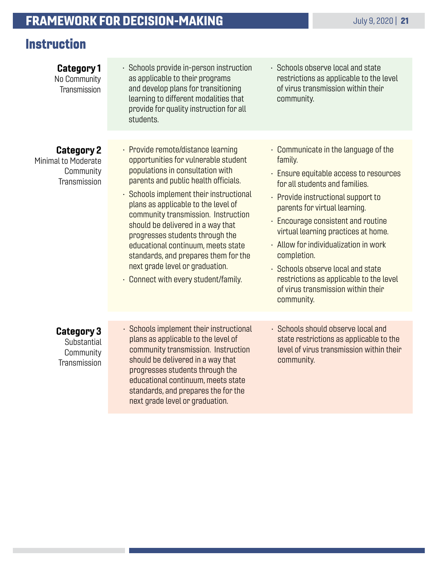# <span id="page-20-0"></span>FRAMEWORK FOR DECISION-MAKING

| <b>Category 1</b><br>No Community<br>Transmission                            | $\cdot$ Schools provide in-person instruction<br>as applicable to their programs<br>and develop plans for transitioning<br>learning to different modalities that<br>provide for quality instruction for all<br>students.                                                                                                                                                                                                                                                                                         | · Schools observe local and state<br>restrictions as applicable to the level<br>of virus transmission within their<br>community.                                                                                                                                                                                                                                                                                                                                                  |
|------------------------------------------------------------------------------|------------------------------------------------------------------------------------------------------------------------------------------------------------------------------------------------------------------------------------------------------------------------------------------------------------------------------------------------------------------------------------------------------------------------------------------------------------------------------------------------------------------|-----------------------------------------------------------------------------------------------------------------------------------------------------------------------------------------------------------------------------------------------------------------------------------------------------------------------------------------------------------------------------------------------------------------------------------------------------------------------------------|
|                                                                              |                                                                                                                                                                                                                                                                                                                                                                                                                                                                                                                  |                                                                                                                                                                                                                                                                                                                                                                                                                                                                                   |
| <b>Category 2</b><br><b>Minimal to Moderate</b><br>Community<br>Transmission | · Provide remote/distance learning<br>opportunities for vulnerable student<br>populations in consultation with<br>parents and public health officials.<br>· Schools implement their instructional<br>plans as applicable to the level of<br>community transmission. Instruction<br>should be delivered in a way that<br>progresses students through the<br>educational continuum, meets state<br>standards, and prepares them for the<br>next grade level or graduation.<br>• Connect with every student/family. | $\cdot$ Communicate in the language of the<br>family.<br>· Ensure equitable access to resources<br>for all students and families.<br>· Provide instructional support to<br>parents for virtual learning.<br>• Encourage consistent and routine<br>virtual learning practices at home.<br>· Allow for individualization in work<br>completion.<br>· Schools observe local and state<br>restrictions as applicable to the level<br>of virus transmission within their<br>community. |
|                                                                              |                                                                                                                                                                                                                                                                                                                                                                                                                                                                                                                  |                                                                                                                                                                                                                                                                                                                                                                                                                                                                                   |
| <b>Category 3</b><br>Substantial<br>Community<br>Transmission                | · Schools implement their instructional<br>plans as applicable to the level of<br>community transmission. Instruction<br>should be delivered in a way that<br>progresses students through the<br>educational continuum, meets state<br>standards, and prepares the for the<br>next grade level or graduation.                                                                                                                                                                                                    | · Schools should observe local and<br>state restrictions as applicable to the<br>level of virus transmission within their<br>community.                                                                                                                                                                                                                                                                                                                                           |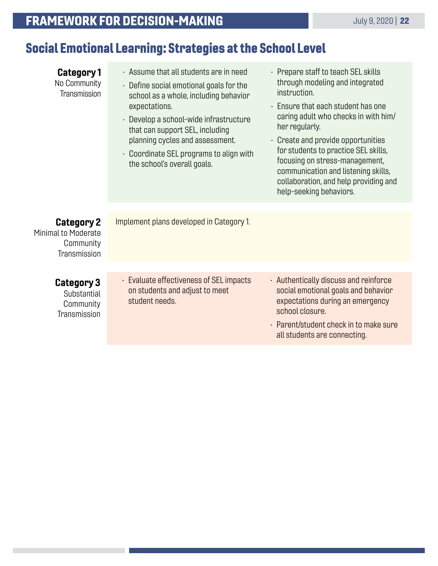# <span id="page-21-0"></span>Social Emotional Learning: Strategies at the School Level

| <b>Category 1</b><br>No Community<br>Transmission                            | $\cdot$ Assume that all students are in need<br>$\cdot$ Define social emotional goals for the<br>school as a whole, including behavior<br>expectations.<br>· Develop a school-wide infrastructure<br>that can support SEL, including<br>planning cycles and assessment.<br>$\cdot$ Coordinate SEL programs to align with<br>the school's overall goals. | • Prepare staff to teach SEL skills<br>through modeling and integrated<br>instruction.<br>· Ensure that each student has one<br>caring adult who checks in with him/<br>her regularly.<br>• Create and provide opportunities<br>for students to practice SEL skills,<br>focusing on stress-management,<br>communication and listening skills,<br>collaboration, and help providing and<br>help-seeking behaviors. |
|------------------------------------------------------------------------------|---------------------------------------------------------------------------------------------------------------------------------------------------------------------------------------------------------------------------------------------------------------------------------------------------------------------------------------------------------|-------------------------------------------------------------------------------------------------------------------------------------------------------------------------------------------------------------------------------------------------------------------------------------------------------------------------------------------------------------------------------------------------------------------|
| <b>Category 2</b><br><b>Minimal to Moderate</b><br>Community<br>Transmission | Implement plans developed in Category 1.                                                                                                                                                                                                                                                                                                                |                                                                                                                                                                                                                                                                                                                                                                                                                   |
|                                                                              |                                                                                                                                                                                                                                                                                                                                                         |                                                                                                                                                                                                                                                                                                                                                                                                                   |
| <b>Category 3</b><br>Substantial<br>Community<br>Transmission                | • Evaluate effectiveness of SEL impacts<br>on students and adjust to meet<br>student needs.                                                                                                                                                                                                                                                             | $\cdot$ Authentically discuss and reinforce<br>social emotional goals and behavior<br>expectations during an emergency<br>school closure.<br>· Parent/student check in to make sure<br>all students are connecting.                                                                                                                                                                                               |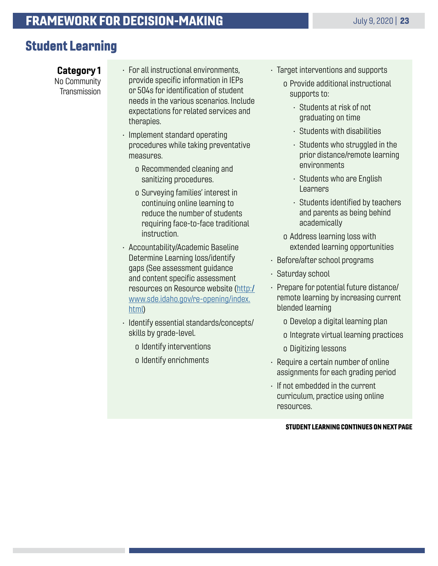### <span id="page-22-0"></span>Student Learning

Category 1 No Community Transmission

- For all instructional environments, provide specific information in IEPs or 504s for identification of student needs in the various scenarios. Include expectations for related services and therapies.
- Implement standard operating procedures while taking preventative measures.
	- o Recommended cleaning and sanitizing procedures.
	- o Surveying families' interest in continuing online learning to reduce the number of students requiring face-to-face traditional instruction.
- Accountability/Academic Baseline Determine Learning loss/identify gaps (See assessment guidance and content specific assessment resources on Resource website [\(http:/](http://www.sde.idaho.gov/re-opening/index.html) [www.sde.idaho.gov/re-opening/index.](http://www.sde.idaho.gov/re-opening/index.html) [html](http://www.sde.idaho.gov/re-opening/index.html))
- Identify essential standards/concepts/ skills by grade-level.
	- o Identify interventions
	- o Identify enrichments
- Target interventions and supports
	- o Provide additional instructional supports to:
		- Students at risk of not graduating on time
		- Students with disabilities
		- Students who struggled in the prior distance/remote learning environments
		- Students who are English **Learners**
		- Students identified by teachers and parents as being behind academically
	- o Address learning loss with extended learning opportunities
- Before/after school programs
- Saturday school
- Prepare for potential future distance/ remote learning by increasing current blended learning
	- o Develop a digital learning plan
	- o Integrate virtual learning practices
	- o Digitizing lessons
- Require a certain number of online assignments for each grading period
- If not embedded in the current curriculum, practice using online resources.

#### STUDENT LEARNING CONTINUES ON NEXT PAGE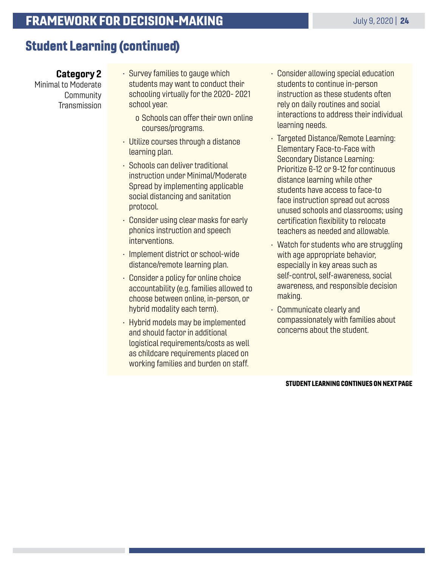### Student Learning (continued)

Category 2 Minimal to Moderate Community **Transmission** 

- Survey families to gauge which students may want to conduct their schooling virtually for the 2020- 2021 school year.
	- o Schools can offer their own online courses/programs.
- Utilize courses through a distance learning plan.
- Schools can deliver traditional instruction under Minimal/Moderate Spread by implementing applicable social distancing and sanitation protocol.
- Consider using clear masks for early phonics instruction and speech interventions.
- Implement district or school-wide distance/remote learning plan.
- Consider a policy for online choice accountability (e.g. families allowed to choose between online, in-person, or hybrid modality each term).
- Hybrid models may be implemented and should factor in additional logistical requirements/costs as well as childcare requirements placed on working families and burden on staff.
- Consider allowing special education students to continue in-person instruction as these students often rely on daily routines and social interactions to address their individual learning needs.
- Targeted Distance/Remote Learning: Elementary Face-to-Face with Secondary Distance Learning: Prioritize 6-12 or 9-12 for continuous distance learning while other students have access to face-to face instruction spread out across unused schools and classrooms; using certification flexibility to relocate teachers as needed and allowable.
- Watch for students who are struggling with age appropriate behavior, especially in key areas such as self-control, self-awareness, social awareness, and responsible decision making.
- Communicate clearly and compassionately with families about concerns about the student.

STUDENT LEARNING CONTINUES ON NEXT PAGE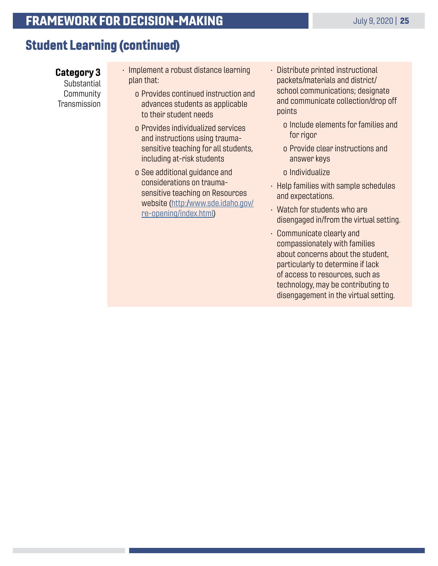### Student Learning (continued)

Category 3 **Substantial Community Transmission** 

- Implement a robust distance learning plan that:
	- o Provides continued instruction and advances students as applicable to their student needs
	- o Provides individualized services and instructions using traumasensitive teaching for all students, including at-risk students
	- o See additional guidance and considerations on traumasensitive teaching on Resources website ([http:/www.sde.idaho.gov/](http://www.sde.idaho.gov/re-opening/index.html) [re-opening/index.html](http://www.sde.idaho.gov/re-opening/index.html))
- Distribute printed instructional packets/materials and district/ school communications; designate and communicate collection/drop off points
	- o Include elements for families and for rigor
	- o Provide clear instructions and answer keys
	- o Individualize
- Help families with sample schedules and expectations.
- Watch for students who are disengaged in/from the virtual setting.
- Communicate clearly and compassionately with families about concerns about the student, particularly to determine if lack of access to resources, such as technology, may be contributing to disengagement in the virtual setting.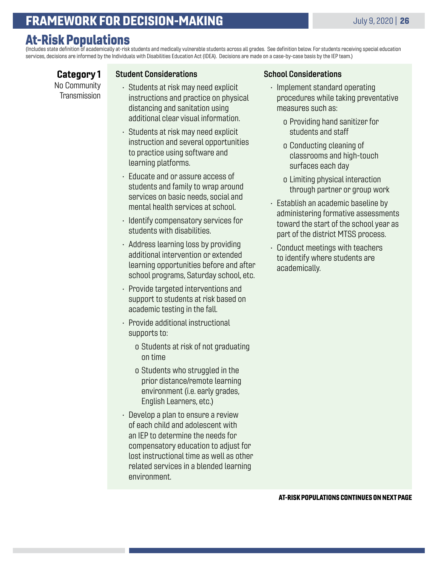### <span id="page-25-0"></span>**FRAMEWORK FOR DECISION-MAKING The Contract of the Contract of Contract 2020 | 26**

### At-Risk Populations

(Includes state definition of academically at-risk students and medically vulnerable students across all grades. See definition below. For students receiving special education services, decisions are informed by the Individuals with Disabilities Education Act (IDEA). Decisions are made on a case-by-case basis by the IEP team.)

Category 1 No Community Transmission

#### Student Considerations

- Students at risk may need explicit instructions and practice on physical distancing and sanitation using additional clear visual information.
- Students at risk may need explicit instruction and several opportunities to practice using software and learning platforms.
- Educate and or assure access of students and family to wrap around services on basic needs, social and mental health services at school.
- Identify compensatory services for students with disabilities.
- Address learning loss by providing additional intervention or extended learning opportunities before and after school programs, Saturday school, etc.
- Provide targeted interventions and support to students at risk based on academic testing in the fall.
- Provide additional instructional supports to:
	- o Students at risk of not graduating on time
	- o Students who struggled in the prior distance/remote learning environment (i.e. early grades, English Learners, etc.)
- Develop a plan to ensure a review of each child and adolescent with an IEP to determine the needs for compensatory education to adjust for lost instructional time as well as other related services in a blended learning environment.

#### School Considerations

- Implement standard operating procedures while taking preventative measures such as:
	- o Providing hand sanitizer for students and staff
	- o Conducting cleaning of classrooms and high-touch surfaces each day
	- o Limiting physical interaction through partner or group work
- Establish an academic baseline by administering formative assessments toward the start of the school year as part of the district MTSS process.
- Conduct meetings with teachers to identify where students are academically.

AT-RISK POPULATIONS CONTINUES ON NEXT PAGE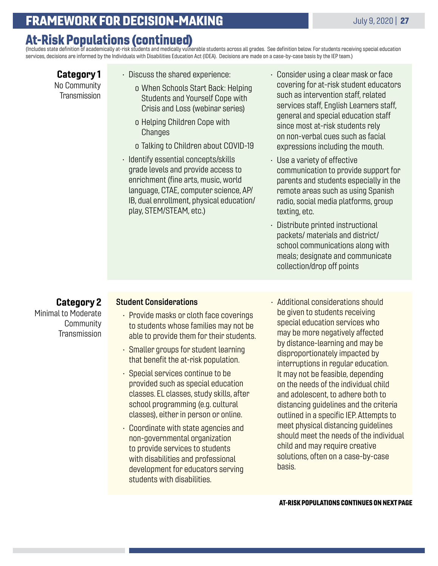### **FRAMEWORK FOR DECISION-MAKING THE CONSTRAMEWORK FOR DECISION-MAKING**

# At-Risk Populations (continued)<br>(Includes state definition of academically at-risk students and medically vulnerable students across all grades. See definition below. For students receiving special education

services, decisions are informed by the Individuals with Disabilities Education Act (IDEA). Decisions are made on a case-by-case basis by the IEP team.)

Category 1 No Community Transmission

- Discuss the shared experience:
	- o When Schools Start Back: Helping Students and Yourself Cope with Crisis and Loss (webinar series)
	- o Helping Children Cope with Changes
	- o Talking to Children about COVID-19
- Identify essential concepts/skills grade levels and provide access to enrichment (fine arts, music, world language, CTAE, computer science, AP/ IB, dual enrollment, physical education/ play, STEM/STEAM, etc.)
- Consider using a clear mask or face covering for at-risk student educators such as intervention staff, related services staff, English Learners staff, general and special education staff since most at-risk students rely on non-verbal cues such as facial expressions including the mouth.
- Use a variety of effective communication to provide support for parents and students especially in the remote areas such as using Spanish radio, social media platforms, group texting, etc.
- Distribute printed instructional packets/ materials and district/ school communications along with meals; designate and communicate collection/drop off points

Category 2 Minimal to Moderate **Community** Transmission

#### Student Considerations

- Provide masks or cloth face coverings to students whose families may not be able to provide them for their students.
- Smaller groups for student learning that benefit the at-risk population.
- Special services continue to be provided such as special education classes. EL classes, study skills, after school programming (e.g. cultural classes), either in person or online.
- Coordinate with state agencies and non-governmental organization to provide services to students with disabilities and professional development for educators serving students with disabilities.
- Additional considerations should be given to students receiving special education services who may be more negatively affected by distance-learning and may be disproportionately impacted by interruptions in regular education. It may not be feasible, depending on the needs of the individual child and adolescent, to adhere both to distancing guidelines and the criteria outlined in a specific IEP. Attempts to meet physical distancing guidelines should meet the needs of the individual child and may require creative solutions, often on a case-by-case basis.

AT-RISK POPULATIONS CONTINUES ON NEXT PAGE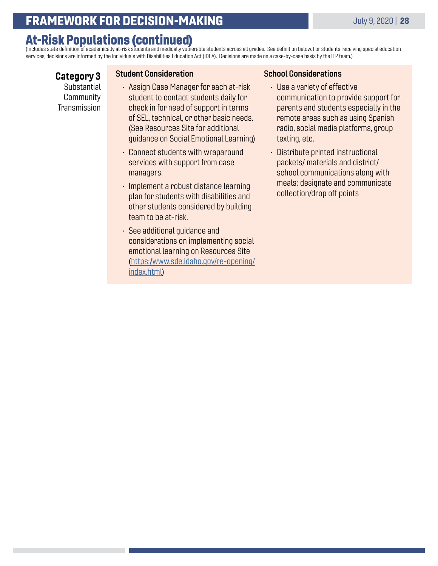At-Risk Populations (continued)<br>(Includes state definition of academically at-risk students and medically vulnerable students across all grades. See definition below. For students receiving special education services, decisions are informed by the Individuals with Disabilities Education Act (IDEA). Decisions are made on a case-by-case basis by the IEP team.)

Category 3 **Substantial** Community Transmission

#### Student Consideration

- Assign Case Manager for each at-risk student to contact students daily for check in for need of support in terms of SEL, technical, or other basic needs. (See Resources Site for additional guidance on Social Emotional Learning)
- Connect students with wraparound services with support from case managers.
- Implement a robust distance learning plan for students with disabilities and other students considered by building team to be at-risk.
- See additional guidance and considerations on implementing social emotional learning on Resources Site [\(https:/www.sde.idaho.gov/re-opening/](http://www.sde.idaho.gov/re-opening/index.html) [index.html](http://www.sde.idaho.gov/re-opening/index.html))

#### School Considerations

- Use a variety of effective communication to provide support for parents and students especially in the remote areas such as using Spanish radio, social media platforms, group texting, etc.
- Distribute printed instructional packets/ materials and district/ school communications along with meals; designate and communicate collection/drop off points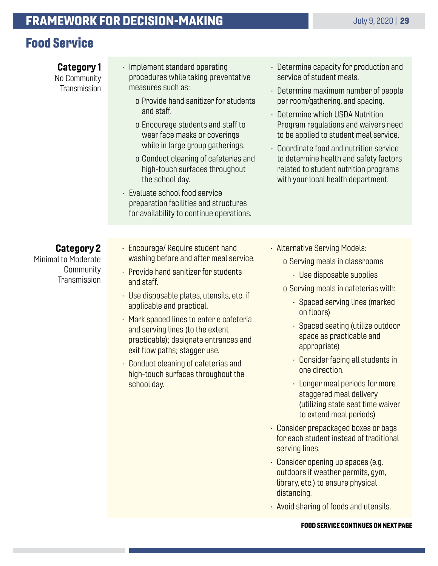### <span id="page-28-0"></span>**FRAMEWORK FOR DECISION-MAKING The Contract of the Contract of Automatic Contract of the Contract of Automatic Contract of the Contract of Automatic Contract of the Contract of Automatic Contract of the Contract of the C**

### Food Service

Category 1

No Community **Transmission** 

- Implement standard operating procedures while taking preventative measures such as:
	- o Provide hand sanitizer for students and staff.
	- o Encourage students and staff to wear face masks or coverings while in large group gatherings.
	- o Conduct cleaning of cafeterias and high-touch surfaces throughout the school day.
- Evaluate school food service preparation facilities and structures for availability to continue operations.
- Determine capacity for production and service of student meals.
- Determine maximum number of people per room/gathering, and spacing.
- Determine which USDA Nutrition Program regulations and waivers need to be applied to student meal service.
- Coordinate food and nutrition service to determine health and safety factors related to student nutrition programs with your local health department.

Category 2

Minimal to Moderate Community Transmission

- Encourage/ Require student hand washing before and after meal service.
- Provide hand sanitizer for students and staff.
- Use disposable plates, utensils, etc. if applicable and practical.
- Mark spaced lines to enter e cafeteria and serving lines (to the extent practicable); designate entrances and exit flow paths; stagger use.
- Conduct cleaning of cafeterias and high-touch surfaces throughout the school day.
- Alternative Serving Models:
	- o Serving meals in classrooms
		- Use disposable supplies
	- o Serving meals in cafeterias with:
		- Spaced serving lines (marked on floors)
		- Spaced seating (utilize outdoor space as practicable and appropriate)
		- Consider facing all students in one direction.
		- Longer meal periods for more staggered meal delivery (utilizing state seat time waiver to extend meal periods)
- Consider prepackaged boxes or bags for each student instead of traditional serving lines.
- Consider opening up spaces (e.g. outdoors if weather permits, gym, library, etc.) to ensure physical distancing.
- Avoid sharing of foods and utensils.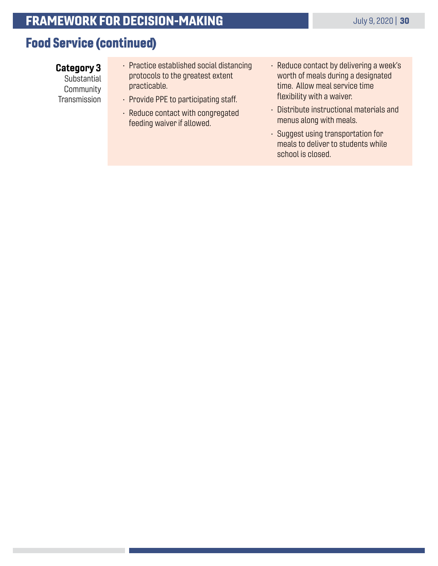### Food Service (continued)

#### Category 3

Substantial **Community Transmission** 

- Practice established social distancing protocols to the greatest extent practicable.
- Provide PPE to participating staff.
- Reduce contact with congregated feeding waiver if allowed.
- Reduce contact by delivering a week's worth of meals during a designated time. Allow meal service time flexibility with a waiver.
- Distribute instructional materials and menus along with meals.
- Suggest using transportation for meals to deliver to students while school is closed.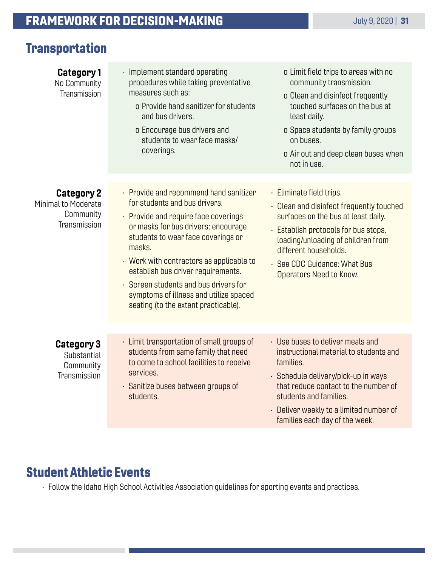families each day of the week.

<span id="page-30-0"></span>

| Transportation                                                               |                                                                                                                                                                                                                                                                                                                                                                                                                     |                                                                                                                                                                                                                                                                               |
|------------------------------------------------------------------------------|---------------------------------------------------------------------------------------------------------------------------------------------------------------------------------------------------------------------------------------------------------------------------------------------------------------------------------------------------------------------------------------------------------------------|-------------------------------------------------------------------------------------------------------------------------------------------------------------------------------------------------------------------------------------------------------------------------------|
| <b>Category 1</b><br>No Community<br>Transmission                            | · Implement standard operating<br>procedures while taking preventative<br>measures such as:<br>o Provide hand sanitizer for students<br>and bus drivers.<br>o Encourage bus drivers and<br>students to wear face masks/<br>coverings.                                                                                                                                                                               | o Limit field trips to areas with no<br>community transmission.<br>o Clean and disinfect frequently<br>touched surfaces on the bus at<br>least daily.<br>o Space students by family groups<br>on buses.<br>o Air out and deep clean buses when<br>not in use.                 |
| <b>Category 2</b><br><b>Minimal to Moderate</b><br>Community<br>Transmission | • Provide and recommend hand sanitizer<br>for students and bus drivers.<br>• Provide and require face coverings<br>or masks for bus drivers; encourage<br>students to wear face coverings or<br>masks.<br>• Work with contractors as applicable to<br>establish bus driver requirements.<br>· Screen students and bus drivers for<br>symptoms of illness and utilize spaced<br>seating (to the extent practicable). | · Eliminate field trips.<br>• Clean and disinfect frequently touched<br>surfaces on the bus at least daily.<br>· Establish protocols for bus stops,<br>loading/unloading of children from<br>different households.<br>· See CDC Guidance: What Bus<br>Operators Need to Know. |
|                                                                              |                                                                                                                                                                                                                                                                                                                                                                                                                     |                                                                                                                                                                                                                                                                               |
| <b>Category 3</b><br>Substantial<br>Community<br>Transmission                | · Limit transportation of small groups of<br>students from same family that need<br>to come to school facilities to receive<br>services.<br>· Sanitize buses between groups of<br>students.                                                                                                                                                                                                                         | · Use buses to deliver meals and<br>instructional material to students and<br>families.<br>· Schedule delivery/pick-up in ways<br>that reduce contact to the number of<br>students and families.<br>• Deliver weekly to a limited number of                                   |

### Student Athletic Events

• Follow the Idaho High School Activities Association guidelines for sporting events and practices.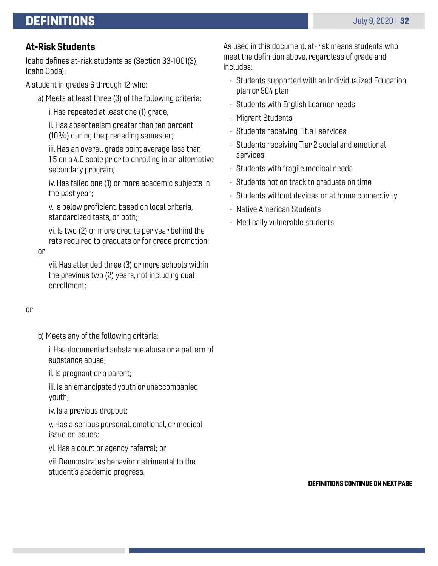### <span id="page-31-0"></span>DEFINITIONS July 9, 2020 | <sup>32</sup>

### At-Risk Students

Idaho defines at-risk students as (Section 33-1001(3), Idaho Code):

A student in grades 6 through 12 who:

a) Meets at least three (3) of the following criteria:

i. Has repeated at least one (1) grade;

 ii. Has absenteeism greater than ten percent (10%) during the preceding semester;

 iii. Has an overall grade point average less than 1.5 on a 4.0 scale prior to enrolling in an alternative secondary program;

 iv. Has failed one (1) or more academic subjects in the past year;

 v. Is below proficient, based on local criteria, standardized tests, or both;

 vi. Is two (2) or more credits per year behind the rate required to graduate or for grade promotion;

or

 vii. Has attended three (3) or more schools within the previous two (2) years, not including dual enrollment;

#### or

b) Meets any of the following criteria:

 i. Has documented substance abuse or a pattern of substance abuse;

ii. Is pregnant or a parent;

 iii. Is an emancipated youth or unaccompanied youth;

iv. Is a previous dropout;

 v. Has a serious personal, emotional, or medical issue or issues;

vi. Has a court or agency referral; or

 vii. Demonstrates behavior detrimental to the student's academic progress.

As used in this document, at-risk means students who meet the definition above, regardless of grade and includes:

- Students supported with an Individualized Education plan or 504 plan
- Students with English Learner needs
- Migrant Students
- Students receiving Title I services
- Students receiving Tier 2 social and emotional services
- Students with fragile medical needs
- Students not on track to graduate on time
- Students without devices or at home connectivity
- Native American Students
- Medically vulnerable students

#### DEFINITIONS CONTINUE ON NEXT PAGE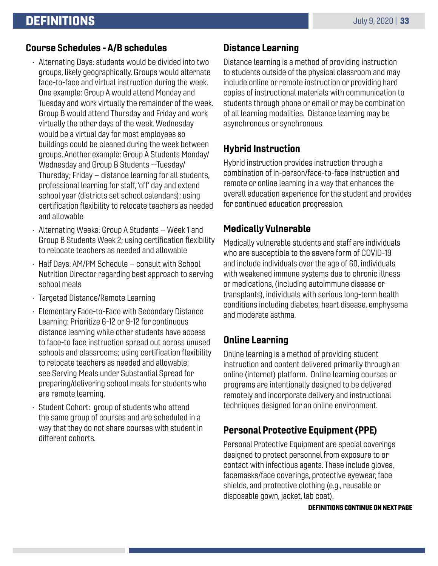#### Course Schedules - A/B schedules

- Alternating Days: students would be divided into two groups, likely geographically. Groups would alternate face-to-face and virtual instruction during the week. One example: Group A would attend Monday and Tuesday and work virtually the remainder of the week. Group B would attend Thursday and Friday and work virtually the other days of the week. Wednesday would be a virtual day for most employees so buildings could be cleaned during the week between groups. Another example: Group A Students Monday/ Wednesday and Group B Students --Tuesday/ Thursday; Friday – distance learning for all students, professional learning for staff, 'off' day and extend school year (districts set school calendars); using certification flexibility to relocate teachers as needed and allowable
- Alternating Weeks: Group A Students Week 1 and Group B Students Week 2; using certification flexibility to relocate teachers as needed and allowable
- Half Days: AM/PM Schedule consult with School Nutrition Director regarding best approach to serving school meals
- Targeted Distance/Remote Learning
- Elementary Face-to-Face with Secondary Distance Learning: Prioritize 6-12 or 9-12 for continuous distance learning while other students have access to face-to face instruction spread out across unused schools and classrooms; using certification flexibility to relocate teachers as needed and allowable; see Serving Meals under Substantial Spread for preparing/delivering school meals for students who are remote learning.
- Student Cohort: group of students who attend the same group of courses and are scheduled in a way that they do not share courses with student in different cohorts.

#### Distance Learning

Distance learning is a method of providing instruction to students outside of the physical classroom and may include online or remote instruction or providing hard copies of instructional materials with communication to students through phone or email or may be combination of all learning modalities. Distance learning may be asynchronous or synchronous.

#### Hybrid Instruction

Hybrid instruction provides instruction through a combination of in-person/face-to-face instruction and remote or online learning in a way that enhances the overall education experience for the student and provides for continued education progression.

#### Medically Vulnerable

Medically vulnerable students and staff are individuals who are susceptible to the severe form of COVID-19 and include individuals over the age of 60, individuals with weakened immune systems due to chronic illness or medications, (including autoimmune disease or transplants), individuals with serious long-term health conditions including diabetes, heart disease, emphysema and moderate asthma.

#### Online Learning

Online learning is a method of providing student instruction and content delivered primarily through an online (internet) platform. Online learning courses or programs are intentionally designed to be delivered remotely and incorporate delivery and instructional techniques designed for an online environment.

### Personal Protective Equipment (PPE)

Personal Protective Equipment are special coverings designed to protect personnel from exposure to or contact with infectious agents. These include gloves, facemasks/face coverings, protective eyewear, face shields, and protective clothing (e.g., reusable or disposable gown, jacket, lab coat).